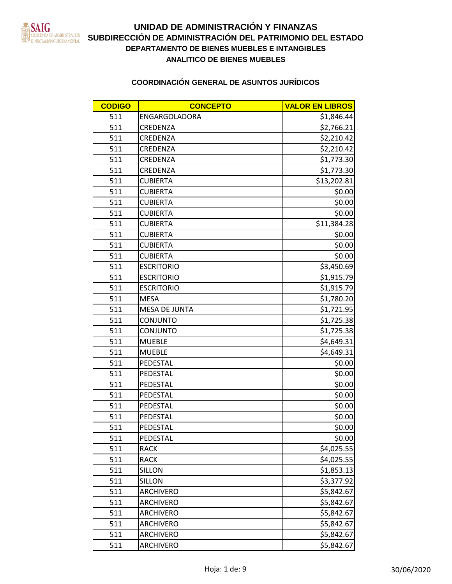

| <b>CODIGO</b> | <b>CONCEPTO</b>      | <b>VALOR EN LIBROS</b> |
|---------------|----------------------|------------------------|
| 511           | ENGARGOLADORA        | \$1,846.44             |
| 511           | CREDENZA             | \$2,766.21             |
| 511           | CREDENZA             | \$2,210.42             |
| 511           | CREDENZA             | \$2,210.42             |
| 511           | CREDENZA             | \$1,773.30             |
| 511           | CREDENZA             | \$1,773.30             |
| 511           | <b>CUBIERTA</b>      | \$13,202.81            |
| 511           | <b>CUBIERTA</b>      | \$0.00                 |
| 511           | <b>CUBIERTA</b>      | \$0.00                 |
| 511           | <b>CUBIERTA</b>      | \$0.00                 |
| 511           | <b>CUBIERTA</b>      | \$11,384.28            |
| 511           | <b>CUBIERTA</b>      | \$0.00                 |
| 511           | <b>CUBIERTA</b>      | \$0.00                 |
| 511           | <b>CUBIERTA</b>      | \$0.00                 |
| 511           | <b>ESCRITORIO</b>    | \$3,450.69             |
| 511           | <b>ESCRITORIO</b>    | \$1,915.79             |
| 511           | <b>ESCRITORIO</b>    | \$1,915.79             |
| 511           | <b>MESA</b>          | \$1,780.20             |
| 511           | <b>MESA DE JUNTA</b> | \$1,721.95             |
| 511           | <b>CONJUNTO</b>      | \$1,725.38             |
| 511           | <b>CONJUNTO</b>      | \$1,725.38             |
| 511           | <b>MUEBLE</b>        | \$4,649.31             |
| 511           | <b>MUEBLE</b>        | \$4,649.31             |
| 511           | PEDESTAL             | \$0.00                 |
| 511           | PEDESTAL             | \$0.00                 |
| 511           | PEDESTAL             | \$0.00                 |
| 511           | PEDESTAL             | \$0.00                 |
| 511           | PEDESTAL             | \$0.00                 |
| 511           | PEDESTAL             | \$0.00                 |
| 511           | PEDESTAL             | \$0.00                 |
| 511           | PEDESTAL             | \$0.00                 |
| 511           | <b>RACK</b>          | \$4,025.55             |
| 511           | <b>RACK</b>          | \$4,025.55             |
| 511           | <b>SILLON</b>        | \$1,853.13             |
| 511           | <b>SILLON</b>        | \$3,377.92             |
| 511           | <b>ARCHIVERO</b>     | \$5,842.67             |
| 511           | ARCHIVERO            | \$5,842.67             |
| 511           | <b>ARCHIVERO</b>     | \$5,842.67             |
| 511           | <b>ARCHIVERO</b>     | \$5,842.67             |
| 511           | <b>ARCHIVERO</b>     | \$5,842.67             |
| 511           | <b>ARCHIVERO</b>     | \$5,842.67             |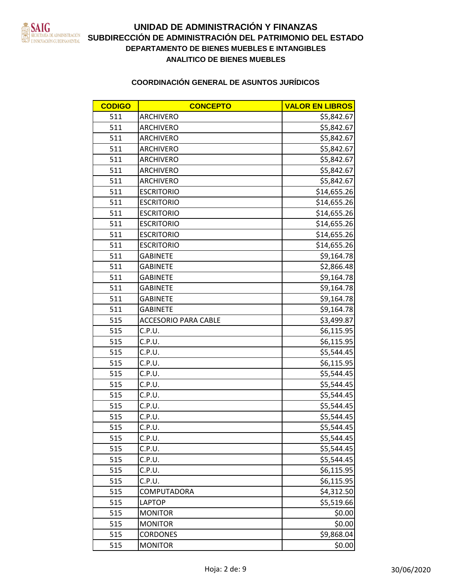

| <b>CODIGO</b> | <b>CONCEPTO</b>             | <b>VALOR EN LIBROS</b> |
|---------------|-----------------------------|------------------------|
| 511           | <b>ARCHIVERO</b>            | \$5,842.67             |
| 511           | <b>ARCHIVERO</b>            | \$5,842.67             |
| 511           | <b>ARCHIVERO</b>            | \$5,842.67             |
| 511           | <b>ARCHIVERO</b>            | \$5,842.67             |
| 511           | <b>ARCHIVERO</b>            | \$5,842.67             |
| 511           | <b>ARCHIVERO</b>            | \$5,842.67             |
| 511           | <b>ARCHIVERO</b>            | \$5,842.67             |
| 511           | <b>ESCRITORIO</b>           | \$14,655.26            |
| 511           | <b>ESCRITORIO</b>           | \$14,655.26            |
| 511           | <b>ESCRITORIO</b>           | \$14,655.26            |
| 511           | <b>ESCRITORIO</b>           | \$14,655.26            |
| 511           | <b>ESCRITORIO</b>           | \$14,655.26            |
| 511           | <b>ESCRITORIO</b>           | \$14,655.26            |
| 511           | <b>GABINETE</b>             | \$9,164.78             |
| 511           | <b>GABINETE</b>             | \$2,866.48             |
| 511           | <b>GABINETE</b>             | \$9,164.78             |
| 511           | <b>GABINETE</b>             | \$9,164.78             |
| 511           | <b>GABINETE</b>             | \$9,164.78             |
| 511           | <b>GABINETE</b>             | \$9,164.78             |
| 515           | <b>ACCESORIO PARA CABLE</b> | \$3,499.87             |
| 515           | C.P.U.                      | \$6,115.95             |
| 515           | C.P.U.                      | \$6,115.95             |
| 515           | C.P.U.                      | \$5,544.45             |
| 515           | C.P.U.                      | \$6,115.95             |
| 515           | C.P.U.                      | \$5,544.45             |
| 515           | C.P.U.                      | \$5,544.45             |
| 515           | C.P.U.                      | \$5,544.45             |
| 515           | C.P.U.                      | \$5,544.45             |
| 515           | C.P.U.                      | \$5,544.45             |
| 515           | C.P.U.                      | \$5,544.45             |
| 515           | C.P.U.                      | \$5,544.45             |
| 515           | C.P.U.                      | \$5,544.45             |
| 515           | C.P.U.                      | \$5,544.45             |
| 515           | C.P.U.                      | \$6,115.95             |
| 515           | C.P.U.                      | \$6,115.95             |
| 515           | COMPUTADORA                 | \$4,312.50             |
| 515           | <b>LAPTOP</b>               | \$5,519.66             |
| 515           | <b>MONITOR</b>              | \$0.00                 |
| 515           | <b>MONITOR</b>              | \$0.00                 |
| 515           | <b>CORDONES</b>             | \$9,868.04             |
| 515           | <b>MONITOR</b>              | \$0.00                 |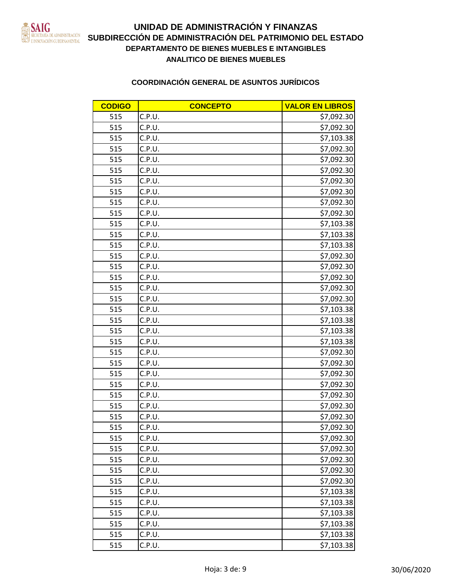

# **DEPARTAMENTO DE BIENES MUEBLES E INTANGIBLES** EN LOCALISTRACIÓN SUBDIRECCIÓN DE ADMINISTRACIÓN DEL PATRIMONIO DEL ESTADO **ANALITICO DE BIENES MUEBLES UNIDAD DE ADMINISTRACIÓN Y FINANZAS**

| <b>CODIGO</b> | <b>CONCEPTO</b> | <b>VALOR EN LIBROS</b> |
|---------------|-----------------|------------------------|
| 515           | C.P.U.          | \$7,092.30             |
| 515           | C.P.U.          | \$7,092.30             |
| 515           | C.P.U.          | \$7,103.38             |
| 515           | C.P.U.          | \$7,092.30             |
| 515           | C.P.U.          | \$7,092.30             |
| 515           | C.P.U.          | \$7,092.30             |
| 515           | C.P.U.          | \$7,092.30             |
| 515           | C.P.U.          | \$7,092.30             |
| 515           | C.P.U.          | \$7,092.30             |
| 515           | C.P.U.          | \$7,092.30             |
| 515           | C.P.U.          | \$7,103.38             |
| 515           | C.P.U.          | \$7,103.38             |
| 515           | C.P.U.          | \$7,103.38             |
| 515           | C.P.U.          | \$7,092.30             |
| 515           | C.P.U.          | \$7,092.30             |
| 515           | C.P.U.          | \$7,092.30             |
| 515           | C.P.U.          | \$7,092.30             |
| 515           | C.P.U.          | \$7,092.30             |
| 515           | C.P.U.          | \$7,103.38             |
| 515           | C.P.U.          | \$7,103.38             |
| 515           | C.P.U.          | \$7,103.38             |
| 515           | C.P.U.          | \$7,103.38             |
| 515           | C.P.U.          | \$7,092.30             |
| 515           | C.P.U.          | \$7,092.30             |
| 515           | C.P.U.          | \$7,092.30             |
| 515           | C.P.U.          | \$7,092.30             |
| 515           | C.P.U.          | \$7,092.30             |
| 515           | C.P.U.          | \$7,092.30             |
| 515           | C.P.U.          | \$7,092.30             |
| 515           | C.P.U.          | \$7,092.30             |
| 515           | C.P.U.          | \$7,092.30             |
| 515           | C.P.U.          | \$7,092.30             |
| 515           | C.P.U.          | \$7,092.30             |
| 515           | C.P.U.          | \$7,092.30             |
| 515           | C.P.U.          | \$7,092.30             |
| 515           | C.P.U.          | \$7,103.38             |
| 515           | C.P.U.          | \$7,103.38             |
| 515           | C.P.U.          | \$7,103.38             |
| 515           | C.P.U.          | \$7,103.38             |
| 515           | C.P.U.          | \$7,103.38             |
| 515           | C.P.U.          | \$7,103.38             |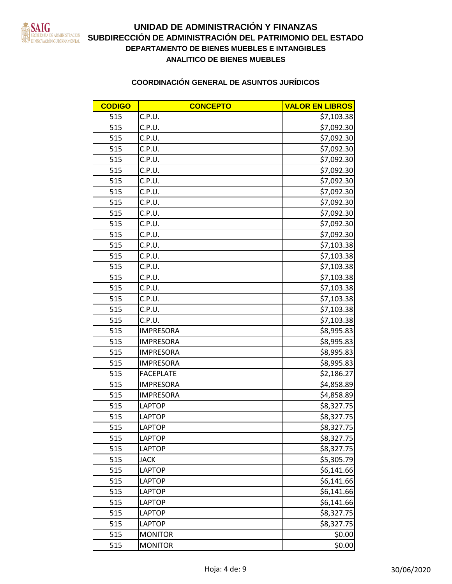

# **DEPARTAMENTO DE BIENES MUEBLES E INTANGIBLES** EN LOCALISTRACIÓN SUBDIRECCIÓN DE ADMINISTRACIÓN DEL PATRIMONIO DEL ESTADO **ANALITICO DE BIENES MUEBLES UNIDAD DE ADMINISTRACIÓN Y FINANZAS**

| <b>CODIGO</b> | <b>CONCEPTO</b>  | <b>VALOR EN LIBROS</b> |
|---------------|------------------|------------------------|
| 515           | C.P.U.           | \$7,103.38             |
| 515           | C.P.U.           | \$7,092.30             |
| 515           | C.P.U.           | \$7,092.30             |
| 515           | C.P.U.           | \$7,092.30             |
| 515           | C.P.U.           | \$7,092.30             |
| 515           | C.P.U.           | \$7,092.30             |
| 515           | C.P.U.           | \$7,092.30             |
| 515           | C.P.U.           | \$7,092.30             |
| 515           | C.P.U.           | \$7,092.30             |
| 515           | C.P.U.           | \$7,092.30             |
| 515           | C.P.U.           | \$7,092.30             |
| 515           | C.P.U.           | \$7,092.30             |
| 515           | C.P.U.           | \$7,103.38             |
| 515           | C.P.U.           | \$7,103.38             |
| 515           | C.P.U.           | \$7,103.38             |
| 515           | C.P.U.           | \$7,103.38             |
| 515           | C.P.U.           | \$7,103.38             |
| 515           | C.P.U.           | \$7,103.38             |
| 515           | C.P.U.           | \$7,103.38             |
| 515           | C.P.U.           | \$7,103.38             |
| 515           | <b>IMPRESORA</b> | \$8,995.83             |
| 515           | <b>IMPRESORA</b> | \$8,995.83             |
| 515           | <b>IMPRESORA</b> | \$8,995.83             |
| 515           | <b>IMPRESORA</b> | \$8,995.83             |
| 515           | <b>FACEPLATE</b> | \$2,186.27             |
| 515           | <b>IMPRESORA</b> | \$4,858.89             |
| 515           | <b>IMPRESORA</b> | \$4,858.89             |
| 515           | <b>LAPTOP</b>    | \$8,327.75             |
| 515           | <b>LAPTOP</b>    | \$8,327.75             |
| 515           | <b>LAPTOP</b>    | \$8,327.75             |
| 515           | <b>LAPTOP</b>    | \$8,327.75             |
| 515           | <b>LAPTOP</b>    | \$8,327.75             |
| 515           | <b>JACK</b>      | \$5,305.79             |
| 515           | <b>LAPTOP</b>    | \$6,141.66             |
| 515           | <b>LAPTOP</b>    | \$6,141.66             |
| 515           | <b>LAPTOP</b>    | \$6,141.66             |
| 515           | <b>LAPTOP</b>    | \$6,141.66             |
| 515           | <b>LAPTOP</b>    | \$8,327.75             |
| 515           | <b>LAPTOP</b>    | \$8,327.75             |
| 515           | <b>MONITOR</b>   | \$0.00                 |
| 515           | <b>MONITOR</b>   | \$0.00                 |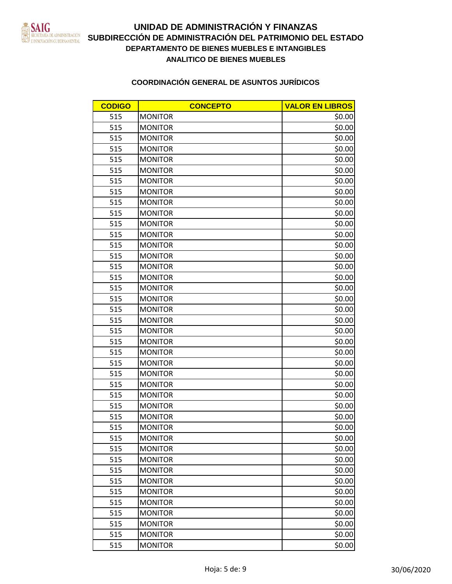

| <b>CODIGO</b> | <b>CONCEPTO</b> | <b>VALOR EN LIBROS</b> |
|---------------|-----------------|------------------------|
| 515           | <b>MONITOR</b>  | \$0.00                 |
| 515           | <b>MONITOR</b>  | \$0.00                 |
| 515           | <b>MONITOR</b>  | \$0.00                 |
| 515           | <b>MONITOR</b>  | \$0.00                 |
| 515           | <b>MONITOR</b>  | \$0.00                 |
| 515           | <b>MONITOR</b>  | \$0.00                 |
| 515           | <b>MONITOR</b>  | \$0.00                 |
| 515           | <b>MONITOR</b>  | \$0.00                 |
| 515           | <b>MONITOR</b>  | \$0.00                 |
| 515           | <b>MONITOR</b>  | \$0.00                 |
| 515           | <b>MONITOR</b>  | \$0.00                 |
| 515           | <b>MONITOR</b>  | \$0.00                 |
| 515           | <b>MONITOR</b>  | \$0.00                 |
| 515           | <b>MONITOR</b>  | \$0.00                 |
| 515           | <b>MONITOR</b>  | \$0.00                 |
| 515           | <b>MONITOR</b>  | \$0.00                 |
| 515           | <b>MONITOR</b>  | \$0.00                 |
| 515           | <b>MONITOR</b>  | \$0.00                 |
| 515           | <b>MONITOR</b>  | \$0.00                 |
| 515           | <b>MONITOR</b>  | \$0.00                 |
| 515           | <b>MONITOR</b>  | \$0.00                 |
| 515           | <b>MONITOR</b>  | \$0.00                 |
| 515           | <b>MONITOR</b>  | \$0.00                 |
| 515           | <b>MONITOR</b>  | \$0.00                 |
| 515           | <b>MONITOR</b>  | \$0.00                 |
| 515           | <b>MONITOR</b>  | \$0.00                 |
| 515           | <b>MONITOR</b>  | \$0.00                 |
| 515           | <b>MONITOR</b>  | \$0.00                 |
| 515           | <b>MONITOR</b>  | \$0.00                 |
| 515           | <b>MONITOR</b>  | \$0.00                 |
| 515           | <b>MONITOR</b>  | \$0.00                 |
| 515           | <b>MONITOR</b>  | \$0.00                 |
| 515           | <b>MONITOR</b>  | \$0.00                 |
| 515           | <b>MONITOR</b>  | \$0.00                 |
| 515           | <b>MONITOR</b>  | \$0.00                 |
| 515           | <b>MONITOR</b>  | \$0.00                 |
| 515           | <b>MONITOR</b>  | \$0.00                 |
| 515           | <b>MONITOR</b>  | \$0.00                 |
| 515           | <b>MONITOR</b>  | \$0.00                 |
| 515           | <b>MONITOR</b>  | \$0.00                 |
| 515           | <b>MONITOR</b>  | \$0.00                 |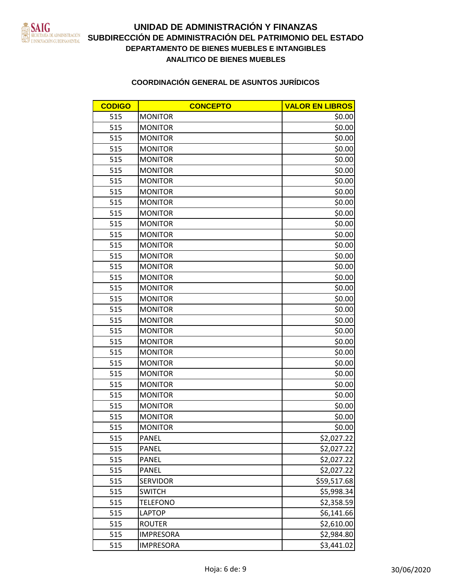

# **DEPARTAMENTO DE BIENES MUEBLES E INTANGIBLES SUBDIRECCIÓN DE ADMINISTRACIÓN DEL PATRIMONIO DEL ESTADO ANALITICO DE BIENES MUEBLES UNIDAD DE ADMINISTRACIÓN Y FINANZAS**

| <b>CODIGO</b> | <b>CONCEPTO</b>  | <b>VALOR EN LIBROS</b> |
|---------------|------------------|------------------------|
| 515           | <b>MONITOR</b>   | \$0.00                 |
| 515           | <b>MONITOR</b>   | \$0.00                 |
| 515           | <b>MONITOR</b>   | \$0.00                 |
| 515           | <b>MONITOR</b>   | \$0.00                 |
| 515           | <b>MONITOR</b>   | \$0.00                 |
| 515           | <b>MONITOR</b>   | \$0.00                 |
| 515           | <b>MONITOR</b>   | \$0.00                 |
| 515           | <b>MONITOR</b>   | \$0.00                 |
| 515           | <b>MONITOR</b>   | \$0.00                 |
| 515           | <b>MONITOR</b>   | \$0.00                 |
| 515           | <b>MONITOR</b>   | \$0.00                 |
| 515           | <b>MONITOR</b>   | \$0.00                 |
| 515           | <b>MONITOR</b>   | \$0.00                 |
| 515           | <b>MONITOR</b>   | \$0.00                 |
| 515           | <b>MONITOR</b>   | \$0.00                 |
| 515           | <b>MONITOR</b>   | \$0.00                 |
| 515           | <b>MONITOR</b>   | \$0.00                 |
| 515           | <b>MONITOR</b>   | \$0.00                 |
| 515           | <b>MONITOR</b>   | \$0.00                 |
| 515           | <b>MONITOR</b>   | \$0.00                 |
| 515           | <b>MONITOR</b>   | \$0.00                 |
| 515           | <b>MONITOR</b>   | \$0.00                 |
| 515           | <b>MONITOR</b>   | \$0.00                 |
| 515           | <b>MONITOR</b>   | \$0.00                 |
| 515           | <b>MONITOR</b>   | \$0.00                 |
| 515           | <b>MONITOR</b>   | \$0.00                 |
| 515           | <b>MONITOR</b>   | \$0.00                 |
| 515           | <b>MONITOR</b>   | \$0.00                 |
| 515           | <b>MONITOR</b>   | \$0.00                 |
| 515           | <b>MONITOR</b>   | \$0.00                 |
| 515           | PANEL            | \$2,027.22             |
| 515           | PANEL            | \$2,027.22             |
| 515           | PANEL            | \$2,027.22             |
| 515           | PANEL            | \$2,027.22             |
| 515           | SERVIDOR         | \$59,517.68            |
| 515           | <b>SWITCH</b>    | \$5,998.34             |
| 515           | <b>TELEFONO</b>  | \$2,358.59             |
| 515           | LAPTOP           | \$6,141.66             |
| 515           | <b>ROUTER</b>    | \$2,610.00             |
| 515           | <b>IMPRESORA</b> | \$2,984.80             |
| 515           | <b>IMPRESORA</b> | \$3,441.02             |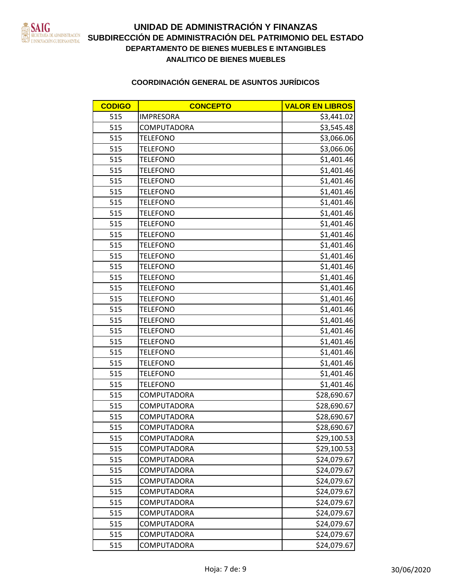

| <b>CODIGO</b> | <b>CONCEPTO</b>    | <b>VALOR EN LIBROS</b> |
|---------------|--------------------|------------------------|
| 515           | <b>IMPRESORA</b>   | \$3,441.02             |
| 515           | <b>COMPUTADORA</b> | \$3,545.48             |
| 515           | <b>TELEFONO</b>    | \$3,066.06             |
| 515           | <b>TELEFONO</b>    | \$3,066.06             |
| 515           | <b>TELEFONO</b>    | \$1,401.46             |
| 515           | <b>TELEFONO</b>    | \$1,401.46             |
| 515           | <b>TELEFONO</b>    | \$1,401.46             |
| 515           | <b>TELEFONO</b>    | \$1,401.46             |
| 515           | <b>TELEFONO</b>    | \$1,401.46             |
| 515           | <b>TELEFONO</b>    | \$1,401.46             |
| 515           | <b>TELEFONO</b>    | \$1,401.46             |
| 515           | <b>TELEFONO</b>    | \$1,401.46             |
| 515           | <b>TELEFONO</b>    | \$1,401.46             |
| 515           | <b>TELEFONO</b>    | \$1,401.46             |
| 515           | <b>TELEFONO</b>    | \$1,401.46             |
| 515           | <b>TELEFONO</b>    | \$1,401.46             |
| 515           | <b>TELEFONO</b>    | \$1,401.46             |
| 515           | <b>TELEFONO</b>    | \$1,401.46             |
| 515           | <b>TELEFONO</b>    | \$1,401.46             |
| 515           | <b>TELEFONO</b>    | \$1,401.46             |
| 515           | <b>TELEFONO</b>    | \$1,401.46             |
| 515           | <b>TELEFONO</b>    | \$1,401.46             |
| 515           | <b>TELEFONO</b>    | \$1,401.46             |
| 515           | <b>TELEFONO</b>    | \$1,401.46             |
| 515           | <b>TELEFONO</b>    | \$1,401.46             |
| 515           | <b>TELEFONO</b>    | \$1,401.46             |
| 515           | COMPUTADORA        | \$28,690.67            |
| 515           | <b>COMPUTADORA</b> | \$28,690.67            |
| 515           | COMPUTADORA        | \$28,690.67            |
| 515           | COMPUTADORA        | \$28,690.67            |
| 515           | COMPUTADORA        | \$29,100.53            |
| 515           | COMPUTADORA        | \$29,100.53            |
| 515           | COMPUTADORA        | \$24,079.67            |
| 515           | <b>COMPUTADORA</b> | \$24,079.67            |
| 515           | <b>COMPUTADORA</b> | \$24,079.67            |
| 515           | COMPUTADORA        | \$24,079.67            |
| 515           | COMPUTADORA        | \$24,079.67            |
| 515           | COMPUTADORA        | \$24,079.67            |
| 515           | COMPUTADORA        | \$24,079.67            |
| 515           | COMPUTADORA        | \$24,079.67            |
| 515           | COMPUTADORA        | \$24,079.67            |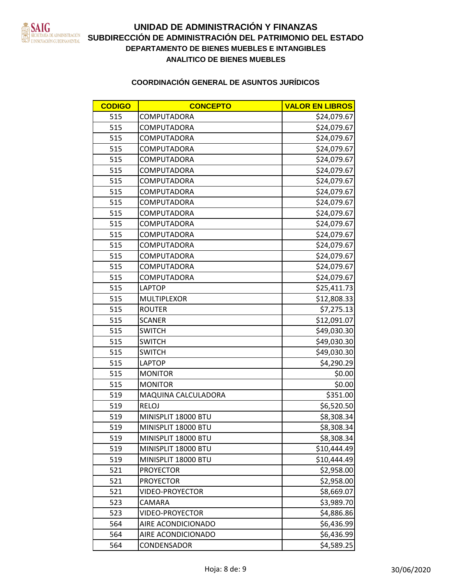

# **DEPARTAMENTO DE BIENES MUEBLES E INTANGIBLES** EN LOCALISTRACIÓN SUBDIRECCIÓN DE ADMINISTRACIÓN DEL PATRIMONIO DEL ESTADO **ANALITICO DE BIENES MUEBLES UNIDAD DE ADMINISTRACIÓN Y FINANZAS**

| <b>CODIGO</b> | <b>CONCEPTO</b>     | <b>VALOR EN LIBROS</b> |
|---------------|---------------------|------------------------|
| 515           | COMPUTADORA         | \$24,079.67            |
| 515           | <b>COMPUTADORA</b>  | \$24,079.67            |
| 515           | COMPUTADORA         | \$24,079.67            |
| 515           | COMPUTADORA         | \$24,079.67            |
| 515           | COMPUTADORA         | \$24,079.67            |
| 515           | COMPUTADORA         | \$24,079.67            |
| 515           | <b>COMPUTADORA</b>  | \$24,079.67            |
| 515           | COMPUTADORA         | \$24,079.67            |
| 515           | <b>COMPUTADORA</b>  | \$24,079.67            |
| 515           | COMPUTADORA         | \$24,079.67            |
| 515           | COMPUTADORA         | \$24,079.67            |
| 515           | COMPUTADORA         | \$24,079.67            |
| 515           | COMPUTADORA         | \$24,079.67            |
| 515           | COMPUTADORA         | \$24,079.67            |
| 515           | COMPUTADORA         | \$24,079.67            |
| 515           | COMPUTADORA         | \$24,079.67            |
| 515           | <b>LAPTOP</b>       | \$25,411.73            |
| 515           | MULTIPLEXOR         | \$12,808.33            |
| 515           | <b>ROUTER</b>       | \$7,275.13             |
| 515           | <b>SCANER</b>       | \$12,091.07            |
| 515           | <b>SWITCH</b>       | \$49,030.30            |
| 515           | <b>SWITCH</b>       | \$49,030.30            |
| 515           | <b>SWITCH</b>       | \$49,030.30            |
| 515           | LAPTOP              | \$4,290.29             |
| 515           | <b>MONITOR</b>      | \$0.00                 |
| 515           | <b>MONITOR</b>      | \$0.00                 |
| 519           | MAQUINA CALCULADORA | \$351.00               |
| 519           | <b>RELOJ</b>        | \$6,520.50             |
| 519           | MINISPLIT 18000 BTU | \$8,308.34             |
| 519           | MINISPLIT 18000 BTU | \$8,308.34             |
| 519           | MINISPLIT 18000 BTU | \$8,308.34             |
| 519           | MINISPLIT 18000 BTU | \$10,444.49            |
| 519           | MINISPLIT 18000 BTU | \$10,444.49            |
| 521           | <b>PROYECTOR</b>    | \$2,958.00             |
| 521           | <b>PROYECTOR</b>    | \$2,958.00             |
| 521           | VIDEO-PROYECTOR     | \$8,669.07             |
| 523           | CAMARA              | \$3,989.70             |
| 523           | VIDEO-PROYECTOR     | \$4,886.86             |
| 564           | AIRE ACONDICIONADO  | \$6,436.99             |
| 564           | AIRE ACONDICIONADO  | \$6,436.99             |
| 564           | CONDENSADOR         | \$4,589.25             |